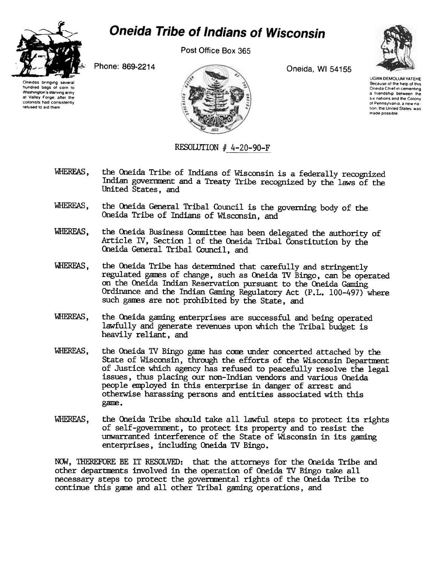

## **Oneida Tribe of Indians of Wisconsin**

Post Office Box 365

Phone: 869-2214 **Oneida, WI 54155** 



Oneidas bringing hundred bags of corn to Washington's starving army at Valley Forge, after the colonists had consistently refused to aid them

UGWA DEMOLUM YATEHE Because of fhe help of fhls Oneida Chief in cementing a friendship between the SIX nations and the Colony of Pennsylvania, a new nation, the United States, was made possible.

RESOLUTION  $#$  4-20-90-F

- WHEREAS, the Oneida Tribe of Indians of Wisconsin is a federally recognized Indian government and a Treaty Tribe recognized by the laws of the United States, and
- WHEREAS, the Oneida General Tribal Council is the governing body of the Oneida Tribe of Indians of Wisconsin, and
- WHEREAS, the Oneida Business Committee has been delegated the authority of Article IV, Section 1 of the Oneida Tribal Constitution by the Oneida General Tribal Council, and
- WHEREAS, the Oneida Tribe has determined that carefully and stringently regulated games of change, such as Oneida TV Bingo, can be operated on the Oneida Indian Reservation pursuant to the Oneida Gaming Ordinance and the Indian Gaming Regulatory Act (P.L. 100-497) where such ganes are not prohibited by the State, and
- WHEREAS, the Oneida gaming enterprises are successful and being operated lawfully and generate revenues upon which the Tribal budget is heavily reliant, and
- WHEREAS, the Oneida TV Bingo game has come under concerted attached by the State of Wisconsin, through the efforts of the Wisconsin Department of Justice which agency has refused to peacefully resolve the legal issues, thus placing our non-Indian vendors and various Oneida people employed in this enterprise in danger of arrest and otherwise harassing persons and entities associated with this gane.
- WHEREAS, the Oneida Tribe should take all lawful steps to protect its rights of self-government, to protect its property and to resist the unwarranted interference of the State of Wisconsin in its gaming enterprises, including Oneida 1V Bingo.

NOW. THEREFORE BE IT RESOLVED: that the attorneys for the Oneida Tribe and other departments involved in the operation of Oneida TV Bingo take all necessary steps to protect the governmental rights of the Oneida Tribe to continue this game and all other Tribal gaming operations, and